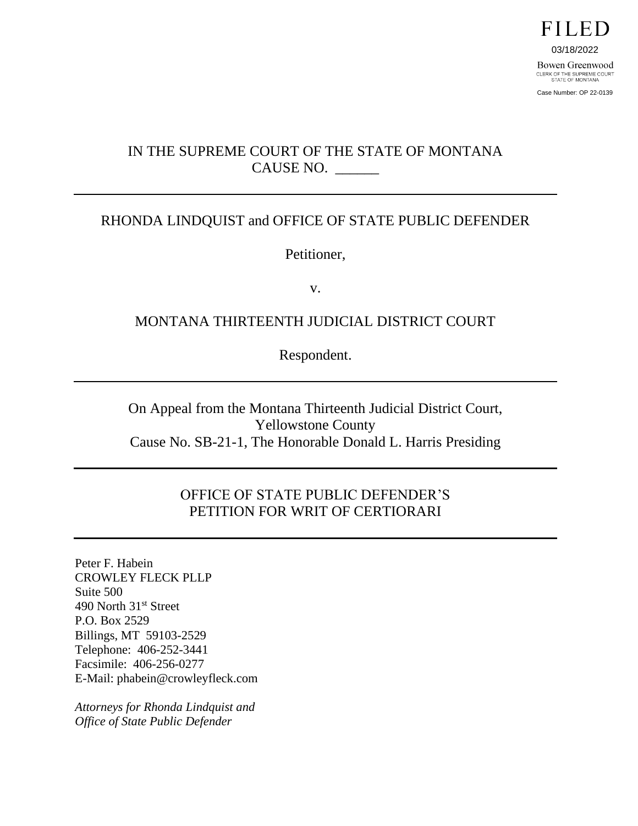

Case Number: OP 22-0139

# IN THE SUPREME COURT OF THE STATE OF MONTANA CAUSE NO. \_\_\_\_\_\_

## RHONDA LINDQUIST and OFFICE OF STATE PUBLIC DEFENDER

Petitioner,

v.

## MONTANA THIRTEENTH JUDICIAL DISTRICT COURT

Respondent.

On Appeal from the Montana Thirteenth Judicial District Court, Yellowstone County Cause No. SB-21-1, The Honorable Donald L. Harris Presiding

## OFFICE OF STATE PUBLIC DEFENDER'S PETITION FOR WRIT OF CERTIORARI

Peter F. Habein CROWLEY FLECK PLLP Suite 500 490 North 31<sup>st</sup> Street P.O. Box 2529 Billings, MT 59103-2529 Telephone: 406-252-3441 Facsimile: 406-256-0277 E-Mail: phabein@crowleyfleck.com

*Attorneys for Rhonda Lindquist and Office of State Public Defender*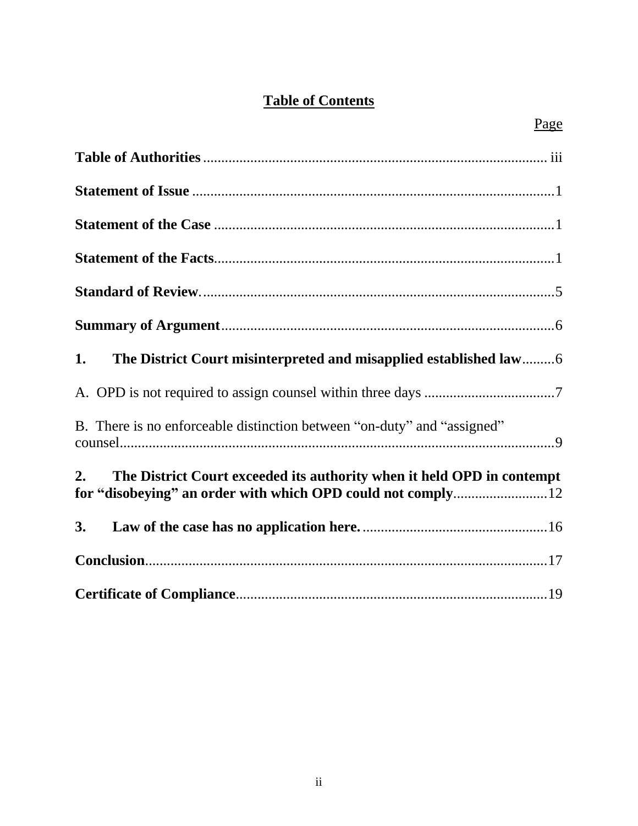# **Table of Contents**

| 1.                                                                                                                                          |
|---------------------------------------------------------------------------------------------------------------------------------------------|
|                                                                                                                                             |
| B. There is no enforceable distinction between "on-duty" and "assigned"                                                                     |
| The District Court exceeded its authority when it held OPD in contempt<br>2.<br>for "disobeying" an order with which OPD could not comply12 |
| 3.                                                                                                                                          |
|                                                                                                                                             |
|                                                                                                                                             |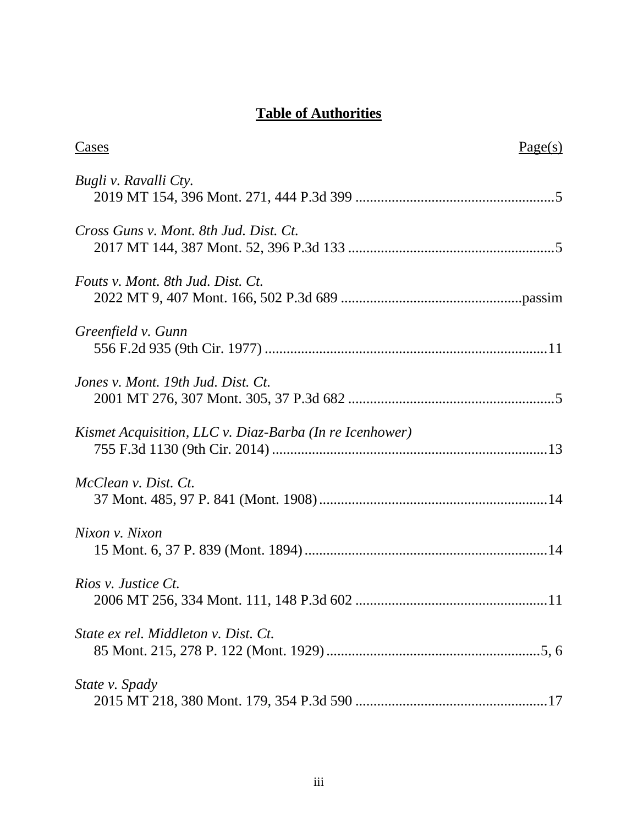# **Table of Authorities**

| Cases                                                   | Page(s) |
|---------------------------------------------------------|---------|
| Bugli v. Ravalli Cty.                                   |         |
| Cross Guns v. Mont. 8th Jud. Dist. Ct.                  |         |
| Fouts v. Mont. 8th Jud. Dist. Ct.                       |         |
| Greenfield v. Gunn                                      |         |
| Jones v. Mont. 19th Jud. Dist. Ct.                      |         |
| Kismet Acquisition, LLC v. Diaz-Barba (In re Icenhower) |         |
| McClean v. Dist. Ct.                                    |         |
| Nixon v. Nixon                                          |         |
| Rios v. Justice Ct.                                     |         |
| State ex rel. Middleton v. Dist. Ct.                    |         |
| State v. Spady                                          |         |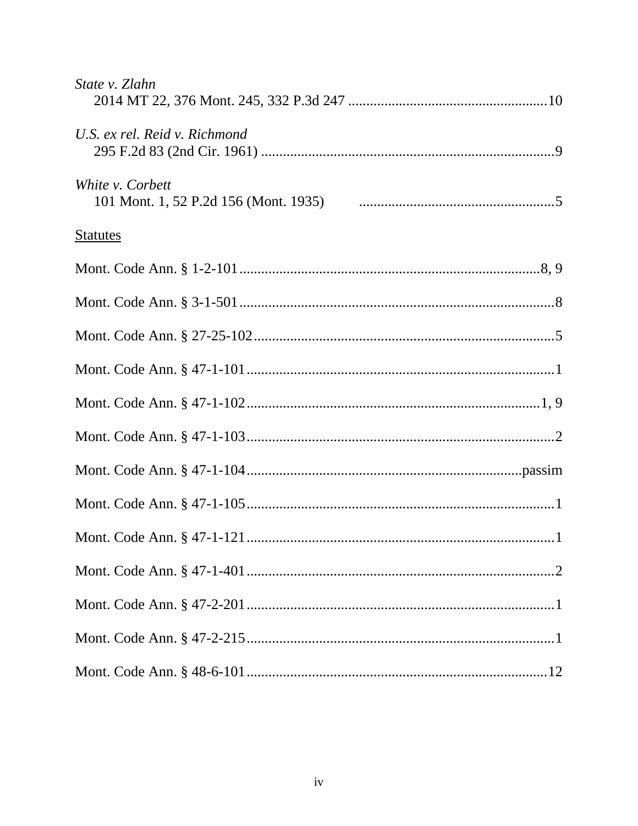| State v. Zlahn                |
|-------------------------------|
| U.S. ex rel. Reid v. Richmond |
| White <i>v.</i> Corbett       |
| <u>Statutes</u>               |
|                               |
|                               |
|                               |
|                               |
|                               |
|                               |
|                               |
|                               |
|                               |
|                               |
|                               |
|                               |
|                               |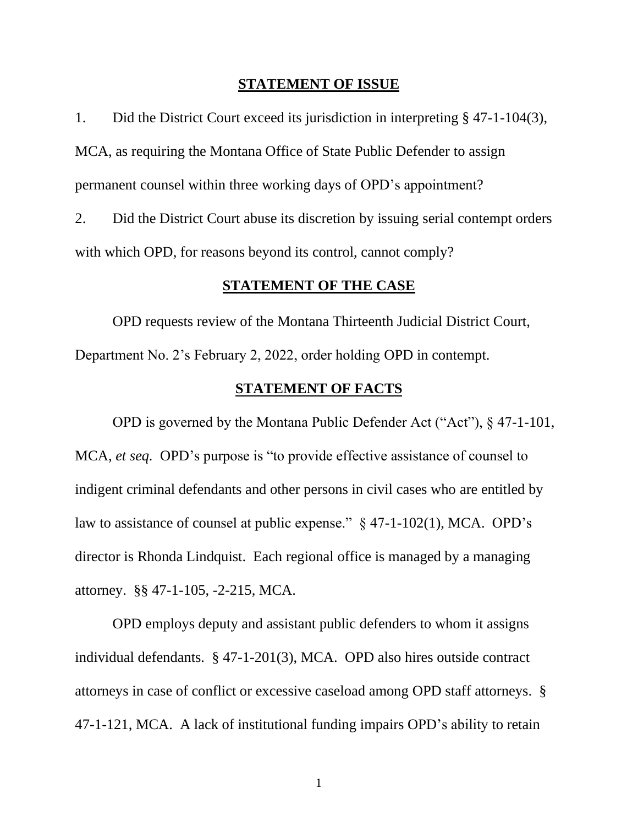#### **STATEMENT OF ISSUE**

1. Did the District Court exceed its jurisdiction in interpreting § 47-1-104(3), MCA, as requiring the Montana Office of State Public Defender to assign permanent counsel within three working days of OPD's appointment?

2. Did the District Court abuse its discretion by issuing serial contempt orders with which OPD, for reasons beyond its control, cannot comply?

### **STATEMENT OF THE CASE**

OPD requests review of the Montana Thirteenth Judicial District Court, Department No. 2's February 2, 2022, order holding OPD in contempt.

### **STATEMENT OF FACTS**

OPD is governed by the Montana Public Defender Act ("Act"), § 47-1-101, MCA, *et seq.* OPD's purpose is "to provide effective assistance of counsel to indigent criminal defendants and other persons in civil cases who are entitled by law to assistance of counsel at public expense." § 47-1-102(1), MCA. OPD's director is Rhonda Lindquist. Each regional office is managed by a managing attorney. §§ 47-1-105, -2-215, MCA.

OPD employs deputy and assistant public defenders to whom it assigns individual defendants. § 47-1-201(3), MCA. OPD also hires outside contract attorneys in case of conflict or excessive caseload among OPD staff attorneys. § 47-1-121, MCA. A lack of institutional funding impairs OPD's ability to retain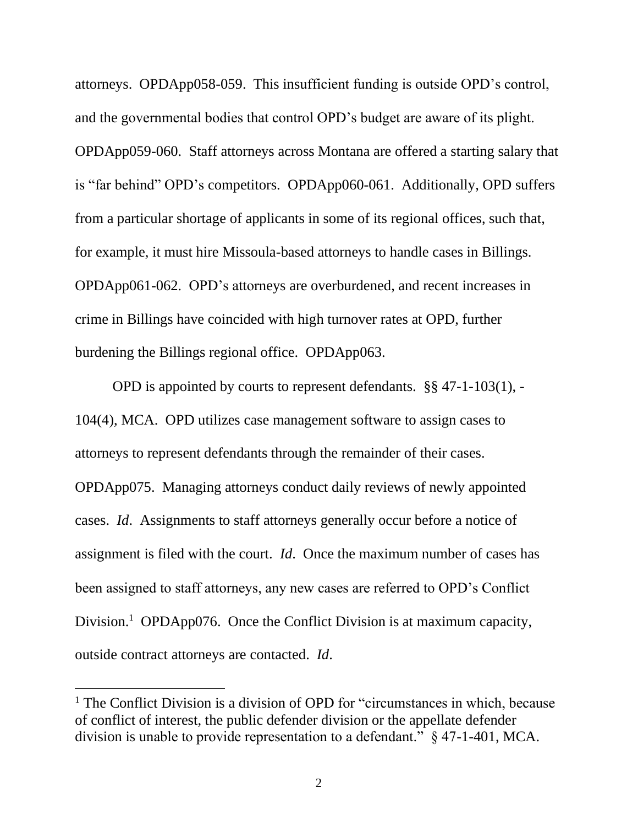attorneys. OPDApp058-059. This insufficient funding is outside OPD's control, and the governmental bodies that control OPD's budget are aware of its plight. OPDApp059-060. Staff attorneys across Montana are offered a starting salary that is "far behind" OPD's competitors. OPDApp060-061. Additionally, OPD suffers from a particular shortage of applicants in some of its regional offices, such that, for example, it must hire Missoula-based attorneys to handle cases in Billings. OPDApp061-062. OPD's attorneys are overburdened, and recent increases in crime in Billings have coincided with high turnover rates at OPD, further burdening the Billings regional office. OPDApp063.

OPD is appointed by courts to represent defendants. §§ 47-1-103(1), - 104(4), MCA. OPD utilizes case management software to assign cases to attorneys to represent defendants through the remainder of their cases. OPDApp075. Managing attorneys conduct daily reviews of newly appointed cases. *Id*. Assignments to staff attorneys generally occur before a notice of assignment is filed with the court. *Id*. Once the maximum number of cases has been assigned to staff attorneys, any new cases are referred to OPD's Conflict Division.<sup>[1](#page-5-0)</sup> OPDApp076. Once the Conflict Division is at maximum capacity, outside contract attorneys are contacted. *Id*.

<span id="page-5-0"></span><sup>&</sup>lt;sup>1</sup> The Conflict Division is a division of OPD for "circumstances in which, because of conflict of interest, the public defender division or the appellate defender division is unable to provide representation to a defendant." § 47-1-401, MCA.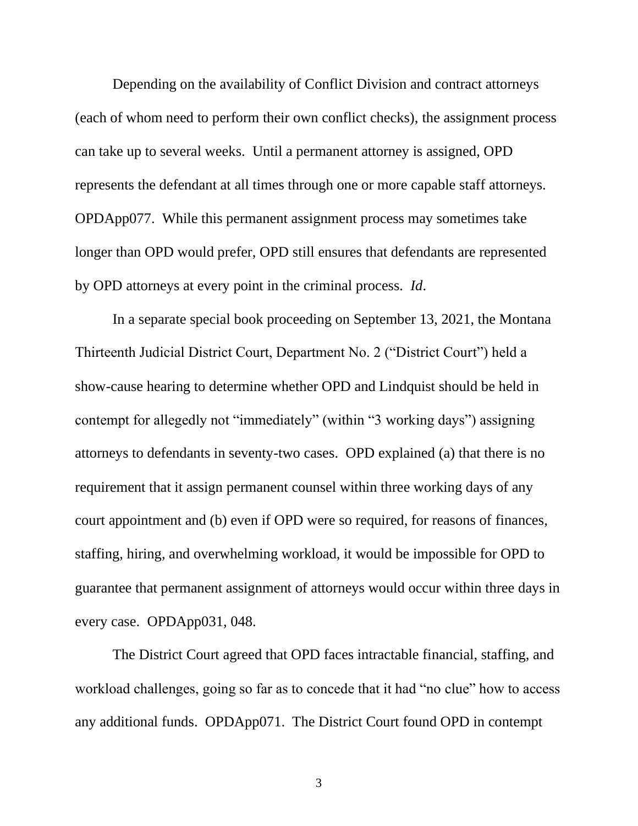Depending on the availability of Conflict Division and contract attorneys (each of whom need to perform their own conflict checks), the assignment process can take up to several weeks. Until a permanent attorney is assigned, OPD represents the defendant at all times through one or more capable staff attorneys. OPDApp077. While this permanent assignment process may sometimes take longer than OPD would prefer, OPD still ensures that defendants are represented by OPD attorneys at every point in the criminal process. *Id*.

In a separate special book proceeding on September 13, 2021, the Montana Thirteenth Judicial District Court, Department No. 2 ("District Court") held a show-cause hearing to determine whether OPD and Lindquist should be held in contempt for allegedly not "immediately" (within "3 working days") assigning attorneys to defendants in seventy-two cases. OPD explained (a) that there is no requirement that it assign permanent counsel within three working days of any court appointment and (b) even if OPD were so required, for reasons of finances, staffing, hiring, and overwhelming workload, it would be impossible for OPD to guarantee that permanent assignment of attorneys would occur within three days in every case. OPDApp031, 048.

The District Court agreed that OPD faces intractable financial, staffing, and workload challenges, going so far as to concede that it had "no clue" how to access any additional funds. OPDApp071. The District Court found OPD in contempt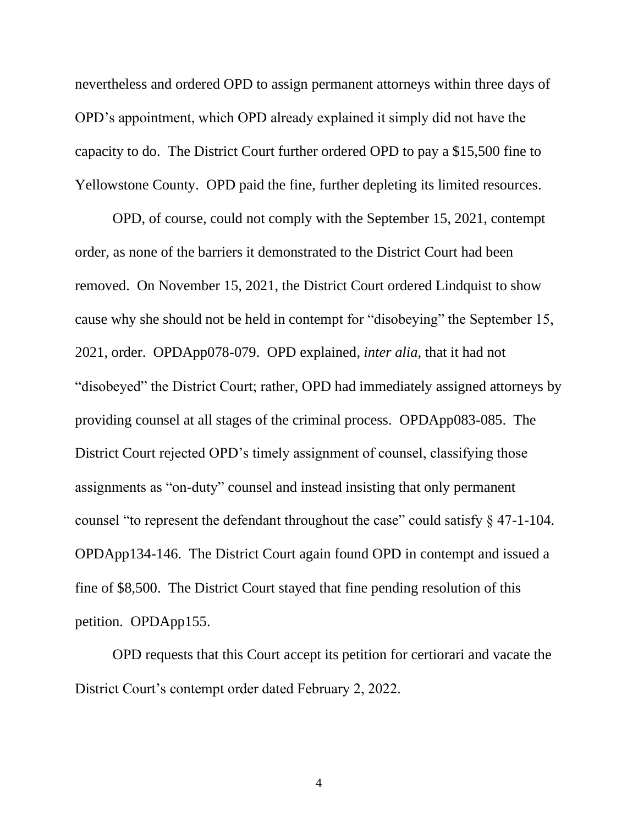nevertheless and ordered OPD to assign permanent attorneys within three days of OPD's appointment, which OPD already explained it simply did not have the capacity to do. The District Court further ordered OPD to pay a \$15,500 fine to Yellowstone County. OPD paid the fine, further depleting its limited resources.

OPD, of course, could not comply with the September 15, 2021, contempt order, as none of the barriers it demonstrated to the District Court had been removed. On November 15, 2021, the District Court ordered Lindquist to show cause why she should not be held in contempt for "disobeying" the September 15, 2021, order. OPDApp078-079. OPD explained, *inter alia*, that it had not "disobeyed" the District Court; rather, OPD had immediately assigned attorneys by providing counsel at all stages of the criminal process. OPDApp083-085. The District Court rejected OPD's timely assignment of counsel, classifying those assignments as "on-duty" counsel and instead insisting that only permanent counsel "to represent the defendant throughout the case" could satisfy § 47-1-104. OPDApp134-146. The District Court again found OPD in contempt and issued a fine of \$8,500. The District Court stayed that fine pending resolution of this petition. OPDApp155.

OPD requests that this Court accept its petition for certiorari and vacate the District Court's contempt order dated February 2, 2022.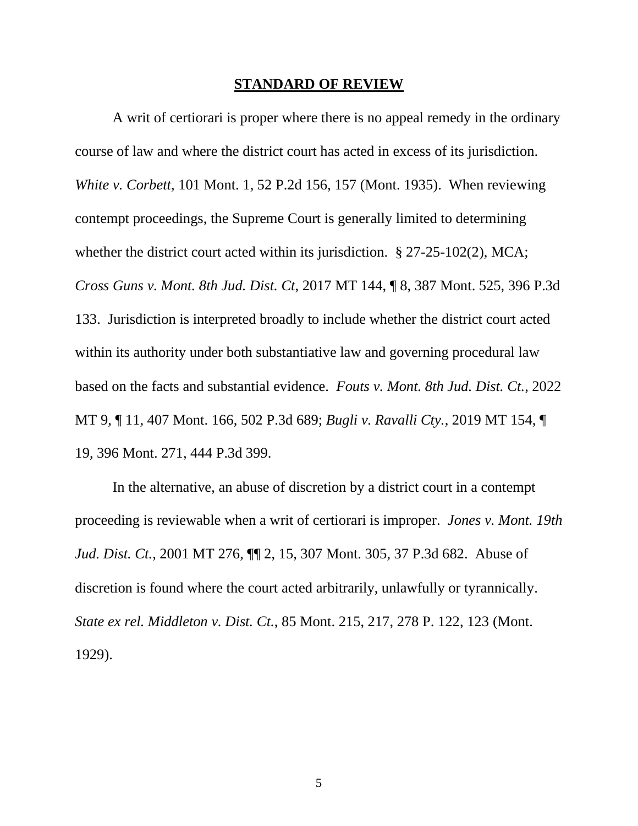#### **STANDARD OF REVIEW**

A writ of certiorari is proper where there is no appeal remedy in the ordinary course of law and where the district court has acted in excess of its jurisdiction. *White v. Corbett*, 101 Mont. 1, 52 P.2d 156, 157 (Mont. 1935). When reviewing contempt proceedings, the Supreme Court is generally limited to determining whether the district court acted within its jurisdiction. § 27-25-102(2), MCA; *Cross Guns v. Mont. 8th Jud. Dist. Ct*, 2017 MT 144, ¶ 8, 387 Mont. 525, 396 P.3d 133. Jurisdiction is interpreted broadly to include whether the district court acted within its authority under both substantiative law and governing procedural law based on the facts and substantial evidence. *Fouts v. Mont. 8th Jud. Dist. Ct.*, 2022 MT 9, ¶ 11, 407 Mont. 166, 502 P.3d 689; *Bugli v. Ravalli Cty.*, 2019 MT 154, ¶ 19, 396 Mont. 271, 444 P.3d 399.

In the alternative, an abuse of discretion by a district court in a contempt proceeding is reviewable when a writ of certiorari is improper. *Jones v. Mont. 19th Jud. Dist. Ct.*, 2001 MT 276, ¶¶ 2, 15, 307 Mont. 305, 37 P.3d 682. Abuse of discretion is found where the court acted arbitrarily, unlawfully or tyrannically. *State ex rel. Middleton v. Dist. Ct.*, 85 Mont. 215, 217, 278 P. 122, 123 (Mont. 1929).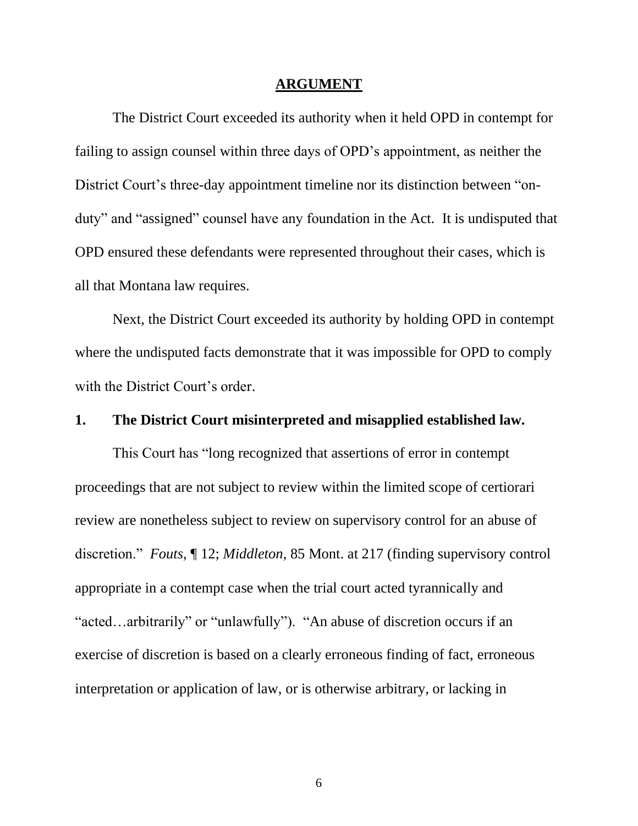#### **ARGUMENT**

The District Court exceeded its authority when it held OPD in contempt for failing to assign counsel within three days of OPD's appointment, as neither the District Court's three-day appointment timeline nor its distinction between "onduty" and "assigned" counsel have any foundation in the Act. It is undisputed that OPD ensured these defendants were represented throughout their cases, which is all that Montana law requires.

Next, the District Court exceeded its authority by holding OPD in contempt where the undisputed facts demonstrate that it was impossible for OPD to comply with the District Court's order.

### **1. The District Court misinterpreted and misapplied established law.**

This Court has "long recognized that assertions of error in contempt proceedings that are not subject to review within the limited scope of certiorari review are nonetheless subject to review on supervisory control for an abuse of discretion." *Fouts*, ¶ 12; *Middleton*, 85 Mont. at 217 (finding supervisory control appropriate in a contempt case when the trial court acted tyrannically and "acted…arbitrarily" or "unlawfully"). "An abuse of discretion occurs if an exercise of discretion is based on a clearly erroneous finding of fact, erroneous interpretation or application of law, or is otherwise arbitrary, or lacking in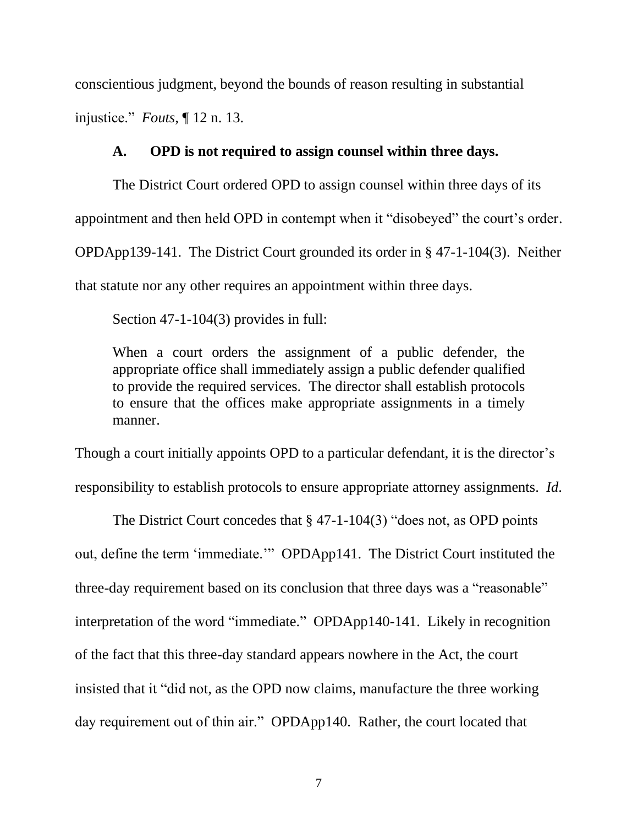conscientious judgment, beyond the bounds of reason resulting in substantial injustice." *Fouts*, ¶ 12 n. 13.

### **A. OPD is not required to assign counsel within three days.**

The District Court ordered OPD to assign counsel within three days of its appointment and then held OPD in contempt when it "disobeyed" the court's order. OPDApp139-141. The District Court grounded its order in § 47-1-104(3). Neither that statute nor any other requires an appointment within three days.

Section 47-1-104(3) provides in full:

When a court orders the assignment of a public defender, the appropriate office shall immediately assign a public defender qualified to provide the required services. The director shall establish protocols to ensure that the offices make appropriate assignments in a timely manner.

Though a court initially appoints OPD to a particular defendant, it is the director's responsibility to establish protocols to ensure appropriate attorney assignments. *Id*.

The District Court concedes that § 47-1-104(3) "does not, as OPD points out, define the term 'immediate.'" OPDApp141. The District Court instituted the three-day requirement based on its conclusion that three days was a "reasonable" interpretation of the word "immediate." OPDApp140-141. Likely in recognition of the fact that this three-day standard appears nowhere in the Act, the court insisted that it "did not, as the OPD now claims, manufacture the three working day requirement out of thin air." OPDApp140. Rather, the court located that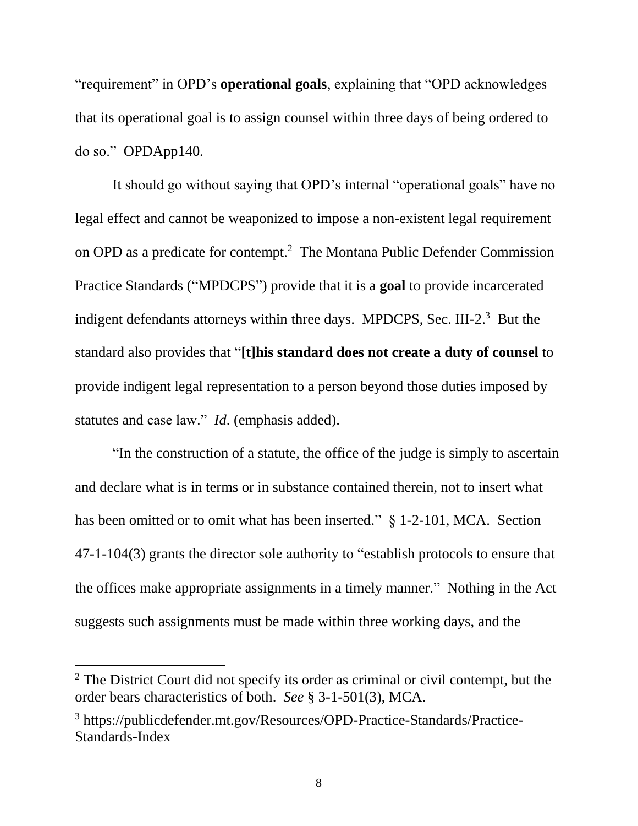"requirement" in OPD's **operational goals**, explaining that "OPD acknowledges that its operational goal is to assign counsel within three days of being ordered to do so." OPDApp140.

It should go without saying that OPD's internal "operational goals" have no legal effect and cannot be weaponized to impose a non-existent legal requirement on OPD as a predicate for contempt. [2](#page-11-0) The Montana Public Defender Commission Practice Standards ("MPDCPS") provide that it is a **goal** to provide incarcerated indigent defendants attorneys within three days. MPDCPS, Sec. III-2.<sup>[3](#page-11-1)</sup> But the standard also provides that "**[t]his standard does not create a duty of counsel** to provide indigent legal representation to a person beyond those duties imposed by statutes and case law." *Id*. (emphasis added).

"In the construction of a statute, the office of the judge is simply to ascertain and declare what is in terms or in substance contained therein, not to insert what has been omitted or to omit what has been inserted." § 1-2-101, MCA. Section 47-1-104(3) grants the director sole authority to "establish protocols to ensure that the offices make appropriate assignments in a timely manner." Nothing in the Act suggests such assignments must be made within three working days, and the

<span id="page-11-0"></span><sup>&</sup>lt;sup>2</sup> The District Court did not specify its order as criminal or civil contempt, but the order bears characteristics of both. *See* § 3-1-501(3), MCA.

<span id="page-11-1"></span><sup>3</sup> https://publicdefender.mt.gov/Resources/OPD-Practice-Standards/Practice-Standards-Index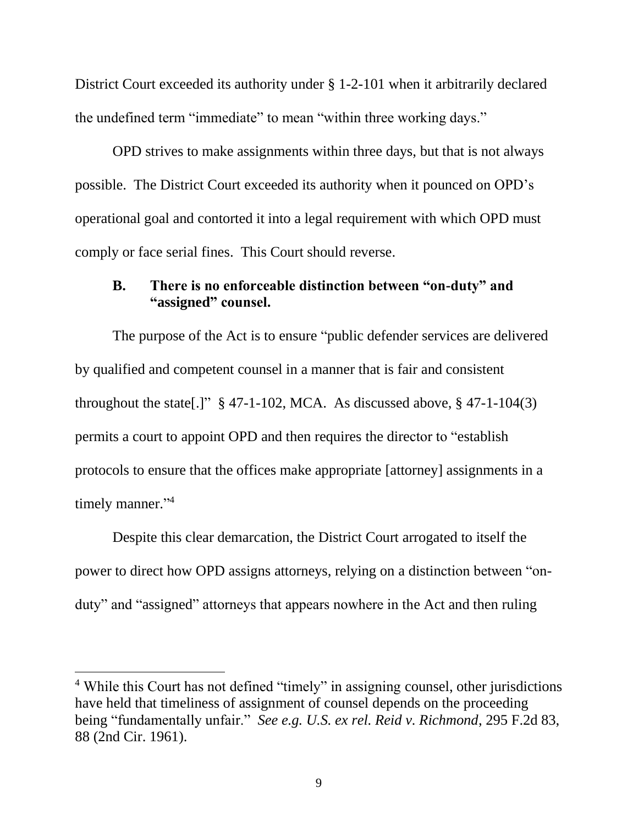District Court exceeded its authority under § 1-2-101 when it arbitrarily declared the undefined term "immediate" to mean "within three working days."

OPD strives to make assignments within three days, but that is not always possible. The District Court exceeded its authority when it pounced on OPD's operational goal and contorted it into a legal requirement with which OPD must comply or face serial fines. This Court should reverse.

## **B. There is no enforceable distinction between "on-duty" and "assigned" counsel.**

The purpose of the Act is to ensure "public defender services are delivered by qualified and competent counsel in a manner that is fair and consistent throughout the state[.]"  $\S$  47-1-102, MCA. As discussed above,  $\S$  47-1-104(3) permits a court to appoint OPD and then requires the director to "establish protocols to ensure that the offices make appropriate [attorney] assignments in a timely manner."<sup>[4](#page-12-0)</sup>

Despite this clear demarcation, the District Court arrogated to itself the power to direct how OPD assigns attorneys, relying on a distinction between "onduty" and "assigned" attorneys that appears nowhere in the Act and then ruling

<span id="page-12-0"></span><sup>&</sup>lt;sup>4</sup> While this Court has not defined "timely" in assigning counsel, other jurisdictions have held that timeliness of assignment of counsel depends on the proceeding being "fundamentally unfair." *See e.g. U.S. ex rel. Reid v. Richmond*, 295 F.2d 83, 88 (2nd Cir. 1961).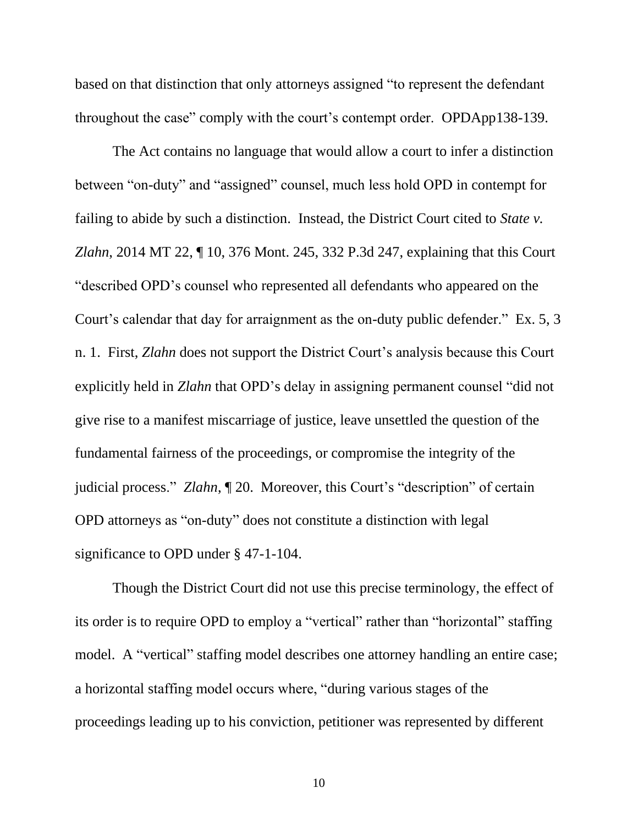based on that distinction that only attorneys assigned "to represent the defendant throughout the case" comply with the court's contempt order. OPDApp138-139.

The Act contains no language that would allow a court to infer a distinction between "on-duty" and "assigned" counsel, much less hold OPD in contempt for failing to abide by such a distinction. Instead, the District Court cited to *State v. Zlahn*, 2014 MT 22, ¶ 10, 376 Mont. 245, 332 P.3d 247, explaining that this Court "described OPD's counsel who represented all defendants who appeared on the Court's calendar that day for arraignment as the on-duty public defender." Ex. 5, 3 n. 1. First, *Zlahn* does not support the District Court's analysis because this Court explicitly held in *Zlahn* that OPD's delay in assigning permanent counsel "did not give rise to a manifest miscarriage of justice, leave unsettled the question of the fundamental fairness of the proceedings, or compromise the integrity of the judicial process." *Zlahn*, ¶ 20. Moreover, this Court's "description" of certain OPD attorneys as "on-duty" does not constitute a distinction with legal significance to OPD under § 47-1-104.

Though the District Court did not use this precise terminology, the effect of its order is to require OPD to employ a "vertical" rather than "horizontal" staffing model. A "vertical" staffing model describes one attorney handling an entire case; a horizontal staffing model occurs where, "during various stages of the proceedings leading up to his conviction, petitioner was represented by different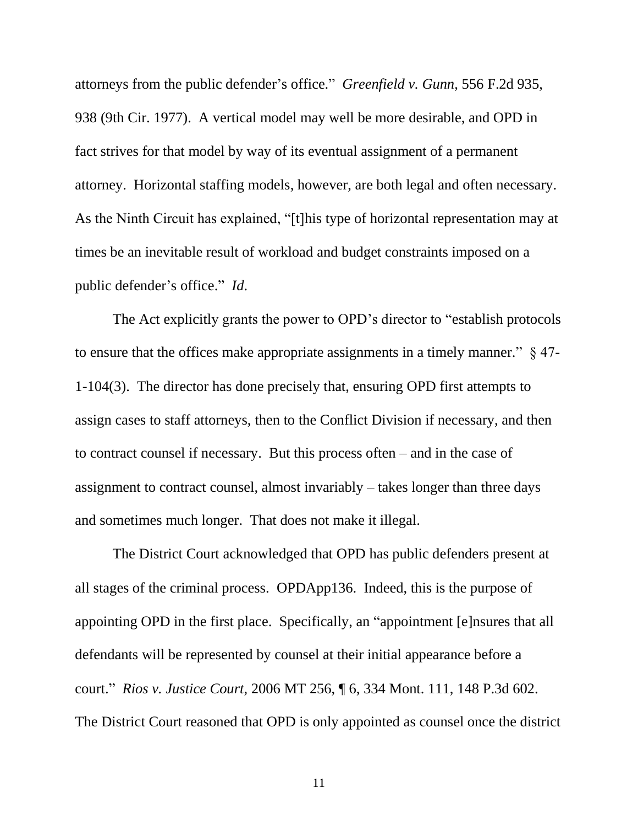attorneys from the public defender's office." *Greenfield v. Gunn*, 556 F.2d 935, 938 (9th Cir. 1977). A vertical model may well be more desirable, and OPD in fact strives for that model by way of its eventual assignment of a permanent attorney. Horizontal staffing models, however, are both legal and often necessary. As the Ninth Circuit has explained, "[t]his type of horizontal representation may at times be an inevitable result of workload and budget constraints imposed on a public defender's office." *Id*.

The Act explicitly grants the power to OPD's director to "establish protocols to ensure that the offices make appropriate assignments in a timely manner." § 47- 1-104(3). The director has done precisely that, ensuring OPD first attempts to assign cases to staff attorneys, then to the Conflict Division if necessary, and then to contract counsel if necessary. But this process often – and in the case of assignment to contract counsel, almost invariably – takes longer than three days and sometimes much longer. That does not make it illegal.

The District Court acknowledged that OPD has public defenders present at all stages of the criminal process. OPDApp136. Indeed, this is the purpose of appointing OPD in the first place. Specifically, an "appointment [e]nsures that all defendants will be represented by counsel at their initial appearance before a court." *Rios v. Justice Court*, 2006 MT 256, ¶ 6, 334 Mont. 111, 148 P.3d 602. The District Court reasoned that OPD is only appointed as counsel once the district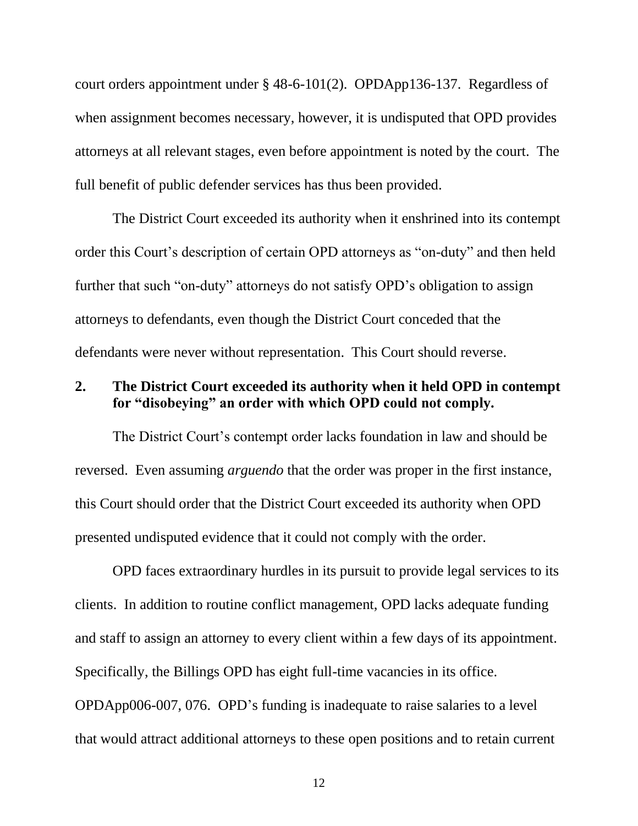court orders appointment under § 48-6-101(2). OPDApp136-137. Regardless of when assignment becomes necessary, however, it is undisputed that OPD provides attorneys at all relevant stages, even before appointment is noted by the court. The full benefit of public defender services has thus been provided.

The District Court exceeded its authority when it enshrined into its contempt order this Court's description of certain OPD attorneys as "on-duty" and then held further that such "on-duty" attorneys do not satisfy OPD's obligation to assign attorneys to defendants, even though the District Court conceded that the defendants were never without representation. This Court should reverse.

### **2. The District Court exceeded its authority when it held OPD in contempt for "disobeying" an order with which OPD could not comply.**

The District Court's contempt order lacks foundation in law and should be reversed. Even assuming *arguendo* that the order was proper in the first instance, this Court should order that the District Court exceeded its authority when OPD presented undisputed evidence that it could not comply with the order.

OPD faces extraordinary hurdles in its pursuit to provide legal services to its clients. In addition to routine conflict management, OPD lacks adequate funding and staff to assign an attorney to every client within a few days of its appointment. Specifically, the Billings OPD has eight full-time vacancies in its office. OPDApp006-007, 076. OPD's funding is inadequate to raise salaries to a level that would attract additional attorneys to these open positions and to retain current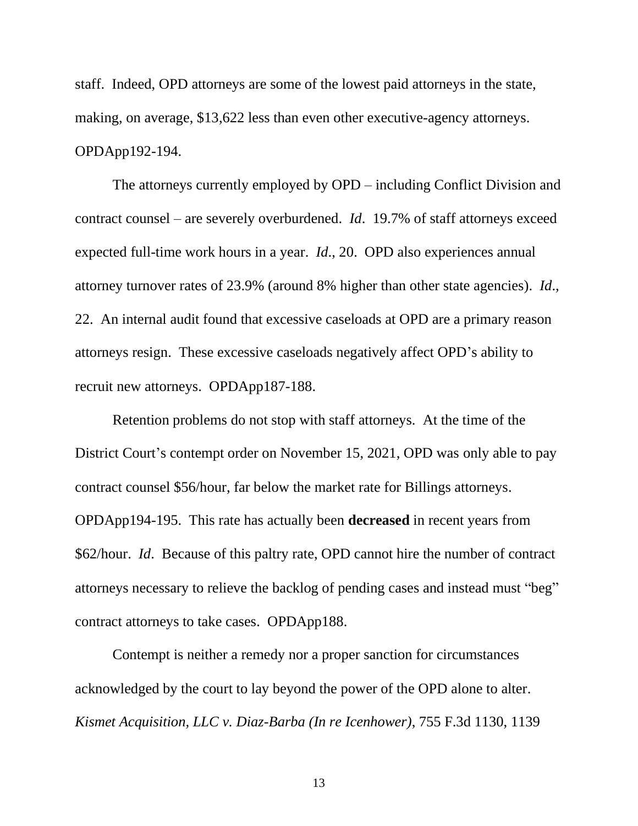staff. Indeed, OPD attorneys are some of the lowest paid attorneys in the state, making, on average, \$13,622 less than even other executive-agency attorneys. OPDApp192-194.

The attorneys currently employed by OPD – including Conflict Division and contract counsel – are severely overburdened. *Id*. 19.7% of staff attorneys exceed expected full-time work hours in a year. *Id*., 20. OPD also experiences annual attorney turnover rates of 23.9% (around 8% higher than other state agencies). *Id*., 22. An internal audit found that excessive caseloads at OPD are a primary reason attorneys resign. These excessive caseloads negatively affect OPD's ability to recruit new attorneys. OPDApp187-188.

Retention problems do not stop with staff attorneys. At the time of the District Court's contempt order on November 15, 2021, OPD was only able to pay contract counsel \$56/hour, far below the market rate for Billings attorneys. OPDApp194-195. This rate has actually been **decreased** in recent years from \$62/hour. *Id*. Because of this paltry rate, OPD cannot hire the number of contract attorneys necessary to relieve the backlog of pending cases and instead must "beg" contract attorneys to take cases. OPDApp188.

Contempt is neither a remedy nor a proper sanction for circumstances acknowledged by the court to lay beyond the power of the OPD alone to alter. *Kismet Acquisition, LLC v. Diaz-Barba (In re Icenhower)*, 755 F.3d 1130, 1139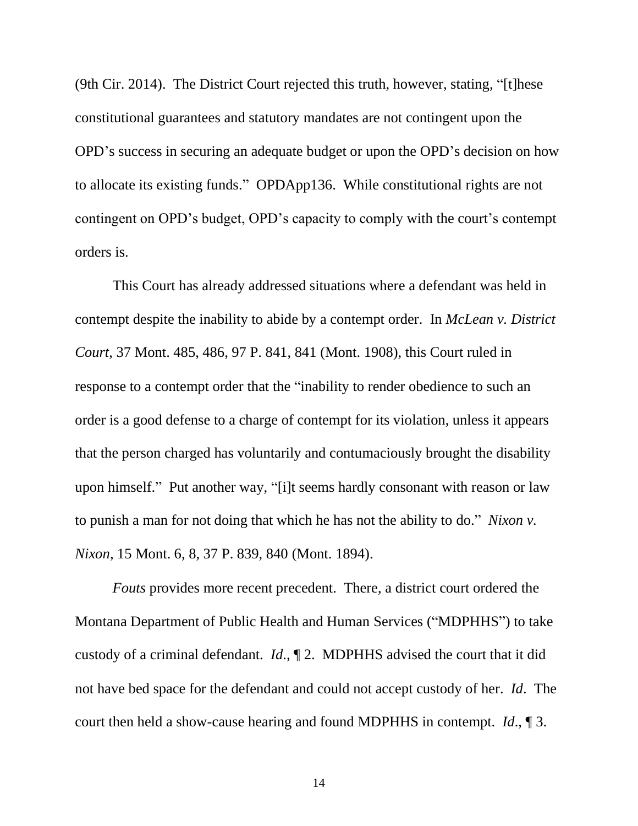(9th Cir. 2014). The District Court rejected this truth, however, stating, "[t]hese constitutional guarantees and statutory mandates are not contingent upon the OPD's success in securing an adequate budget or upon the OPD's decision on how to allocate its existing funds." OPDApp136. While constitutional rights are not contingent on OPD's budget, OPD's capacity to comply with the court's contempt orders is.

This Court has already addressed situations where a defendant was held in contempt despite the inability to abide by a contempt order. In *McLean v. District Court*, 37 Mont. 485, 486, 97 P. 841, 841 (Mont. 1908), this Court ruled in response to a contempt order that the "inability to render obedience to such an order is a good defense to a charge of contempt for its violation, unless it appears that the person charged has voluntarily and contumaciously brought the disability upon himself."Put another way, "[i]t seems hardly consonant with reason or law to punish a man for not doing that which he has not the ability to do." *Nixon v. Nixon*, 15 Mont. 6, 8, 37 P. 839, 840 (Mont. 1894).

*Fouts* provides more recent precedent. There, a district court ordered the Montana Department of Public Health and Human Services ("MDPHHS") to take custody of a criminal defendant. *Id*., ¶ 2. MDPHHS advised the court that it did not have bed space for the defendant and could not accept custody of her. *Id*. The court then held a show-cause hearing and found MDPHHS in contempt. *Id*., ¶ 3.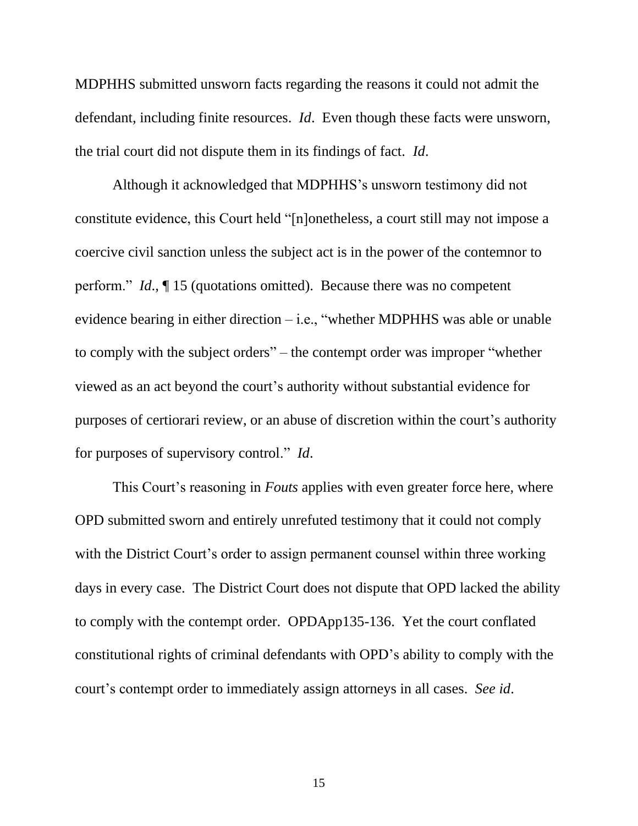MDPHHS submitted unsworn facts regarding the reasons it could not admit the defendant, including finite resources. *Id*. Even though these facts were unsworn, the trial court did not dispute them in its findings of fact. *Id*.

Although it acknowledged that MDPHHS's unsworn testimony did not constitute evidence, this Court held "[n]onetheless, a court still may not impose a coercive civil sanction unless the subject act is in the power of the contemnor to perform." *Id*., ¶ 15 (quotations omitted). Because there was no competent evidence bearing in either direction – i.e., "whether MDPHHS was able or unable to comply with the subject orders" – the contempt order was improper "whether viewed as an act beyond the court's authority without substantial evidence for purposes of certiorari review, or an abuse of discretion within the court's authority for purposes of supervisory control." *Id*.

This Court's reasoning in *Fouts* applies with even greater force here, where OPD submitted sworn and entirely unrefuted testimony that it could not comply with the District Court's order to assign permanent counsel within three working days in every case. The District Court does not dispute that OPD lacked the ability to comply with the contempt order. OPDApp135-136. Yet the court conflated constitutional rights of criminal defendants with OPD's ability to comply with the court's contempt order to immediately assign attorneys in all cases. *See id*.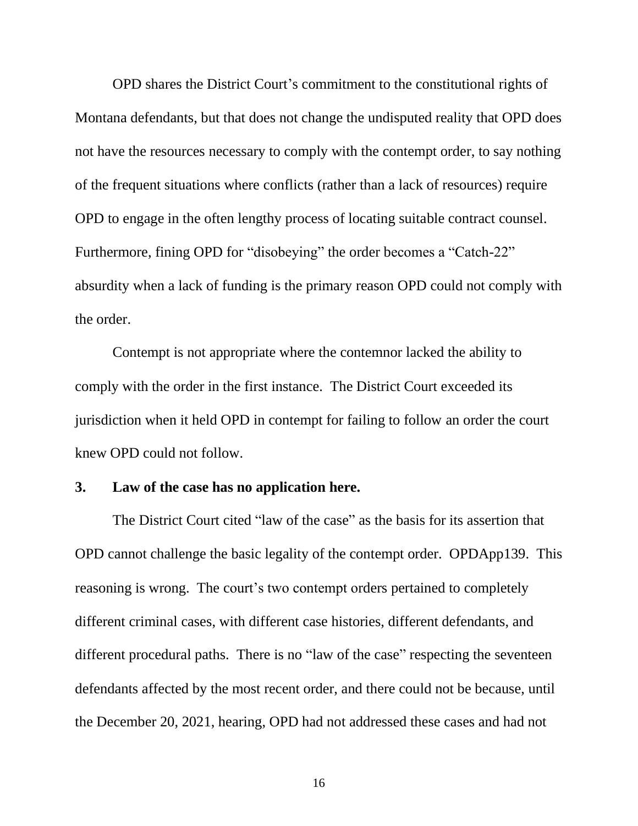OPD shares the District Court's commitment to the constitutional rights of Montana defendants, but that does not change the undisputed reality that OPD does not have the resources necessary to comply with the contempt order, to say nothing of the frequent situations where conflicts (rather than a lack of resources) require OPD to engage in the often lengthy process of locating suitable contract counsel. Furthermore, fining OPD for "disobeying" the order becomes a "Catch-22" absurdity when a lack of funding is the primary reason OPD could not comply with the order.

Contempt is not appropriate where the contemnor lacked the ability to comply with the order in the first instance. The District Court exceeded its jurisdiction when it held OPD in contempt for failing to follow an order the court knew OPD could not follow.

### **3. Law of the case has no application here.**

The District Court cited "law of the case" as the basis for its assertion that OPD cannot challenge the basic legality of the contempt order. OPDApp139. This reasoning is wrong. The court's two contempt orders pertained to completely different criminal cases, with different case histories, different defendants, and different procedural paths. There is no "law of the case" respecting the seventeen defendants affected by the most recent order, and there could not be because, until the December 20, 2021, hearing, OPD had not addressed these cases and had not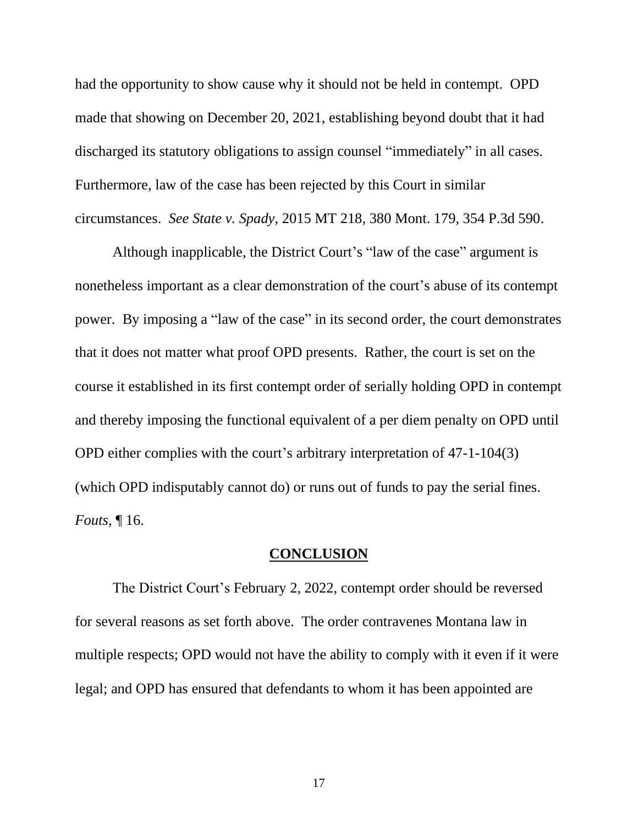had the opportunity to show cause why it should not be held in contempt. OPD made that showing on December 20, 2021, establishing beyond doubt that it had discharged its statutory obligations to assign counsel "immediately" in all cases. Furthermore, law of the case has been rejected by this Court in similar circumstances. *See State v. Spady*, 2015 MT 218, 380 Mont. 179, 354 P.3d 590.

Although inapplicable, the District Court's "law of the case" argument is nonetheless important as a clear demonstration of the court's abuse of its contempt power. By imposing a "law of the case" in its second order, the court demonstrates that it does not matter what proof OPD presents. Rather, the court is set on the course it established in its first contempt order of serially holding OPD in contempt and thereby imposing the functional equivalent of a per diem penalty on OPD until OPD either complies with the court's arbitrary interpretation of 47-1-104(3) (which OPD indisputably cannot do) or runs out of funds to pay the serial fines. *Fouts*, ¶ 16.

### **CONCLUSION**

The District Court's February 2, 2022, contempt order should be reversed for several reasons as set forth above. The order contravenes Montana law in multiple respects; OPD would not have the ability to comply with it even if it were legal; and OPD has ensured that defendants to whom it has been appointed are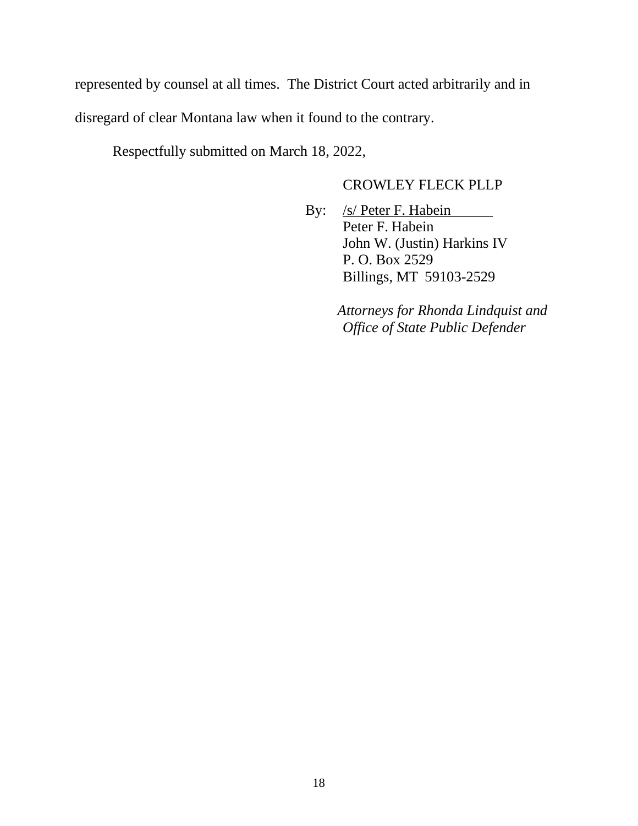represented by counsel at all times. The District Court acted arbitrarily and in disregard of clear Montana law when it found to the contrary.

Respectfully submitted on March 18, 2022,

# CROWLEY FLECK PLLP

By: /s/ Peter F. Habein Peter F. Habein John W. (Justin) Harkins IV P. O. Box 2529 Billings, MT 59103-2529

> *Attorneys for Rhonda Lindquist and Office of State Public Defender*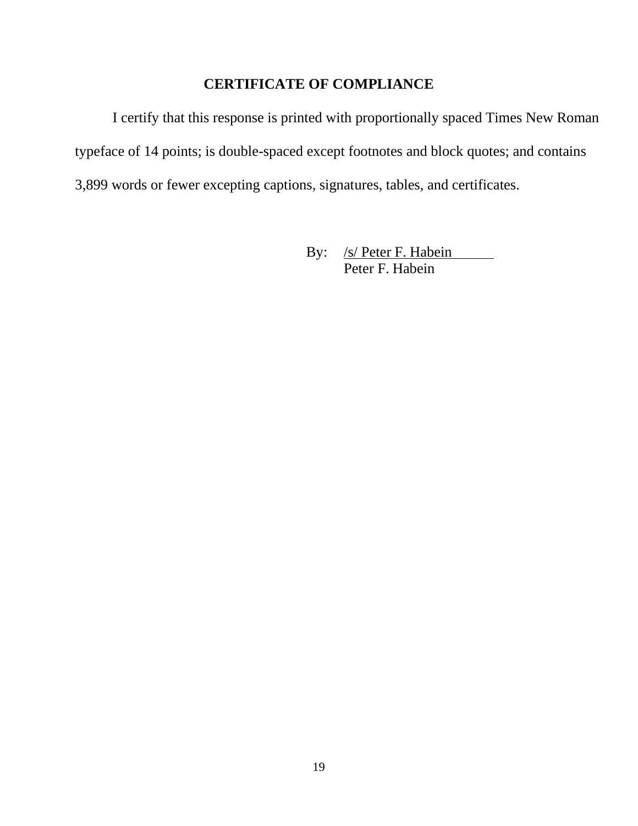# **CERTIFICATE OF COMPLIANCE**

I certify that this response is printed with proportionally spaced Times New Roman typeface of 14 points; is double-spaced except footnotes and block quotes; and contains 3,899 words or fewer excepting captions, signatures, tables, and certificates.

> By: /s/ Peter F. Habein Peter F. Habein